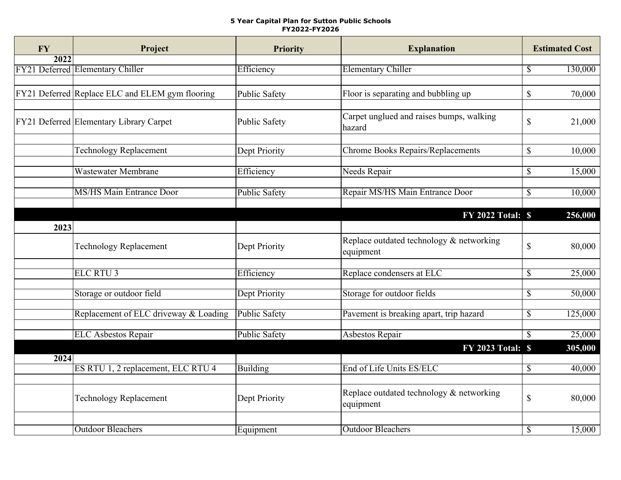## **5 Year Capital Plan for Sutton Public Schools FY2022-FY2026**

| <b>FY</b>         | Project                                         | <b>Priority</b>      | <b>Explanation</b>                       |               | <b>Estimated Cost</b> |
|-------------------|-------------------------------------------------|----------------------|------------------------------------------|---------------|-----------------------|
| $\overline{2022}$ |                                                 |                      |                                          |               |                       |
|                   | FY21 Deferred Elementary Chiller                | Efficiency           | <b>Elementary Chiller</b>                | $\mathbb{S}$  | 130,000               |
|                   |                                                 |                      |                                          |               |                       |
|                   | FY21 Deferred Replace ELC and ELEM gym flooring | <b>Public Safety</b> | Floor is separating and bubbling up      | $\mathcal{S}$ | 70,000                |
|                   |                                                 |                      |                                          |               |                       |
|                   |                                                 |                      | Carpet unglued and raises bumps, walking |               |                       |
|                   | FY21 Deferred Elementary Library Carpet         | Public Safety        | hazard                                   | $\mathbb{S}$  | 21,000                |
|                   |                                                 |                      |                                          |               |                       |
|                   | Technology Replacement                          | Dept Priority        | <b>Chrome Books Repairs/Replacements</b> | $\mathcal{S}$ | 10,000                |
|                   |                                                 |                      |                                          |               |                       |
|                   | Wastewater Membrane                             | Efficiency           | Needs Repair                             | $\mathbb{S}$  | 15,000                |
|                   |                                                 |                      |                                          |               |                       |
|                   | <b>MS/HS Main Entrance Door</b>                 | Public Safety        | Repair MS/HS Main Entrance Door          | $\mathbb{S}$  | 10,000                |
|                   |                                                 |                      |                                          |               |                       |
|                   |                                                 |                      | <b>FY 2022 Total: \$</b>                 |               | 256,000               |
| 2023              |                                                 |                      |                                          |               |                       |
|                   | <b>Technology Replacement</b>                   | Dept Priority        | Replace outdated technology & networking | $\mathbf S$   | 80,000                |
|                   |                                                 |                      | equipment                                |               |                       |
|                   |                                                 |                      |                                          |               |                       |
|                   | <b>ELC RTU3</b>                                 | Efficiency           | Replace condensers at ELC                | \$            | 25,000                |
|                   |                                                 |                      |                                          |               |                       |
|                   | Storage or outdoor field                        | Dept Priority        | Storage for outdoor fields               | \$            | 50,000                |
|                   | Replacement of ELC driveway & Loading           | <b>Public Safety</b> | Pavement is breaking apart, trip hazard  | \$            | 125,000               |
|                   |                                                 |                      |                                          |               |                       |
|                   | <b>ELC Asbestos Repair</b>                      | <b>Public Safety</b> | <b>Asbestos Repair</b>                   | $\mathcal{S}$ | 25,000                |
|                   |                                                 |                      | <b>FY 2023 Total: \$</b>                 |               | 305,000               |
| 2024              |                                                 |                      |                                          |               |                       |
|                   | ES RTU 1, 2 replacement, ELC RTU 4              | <b>Building</b>      | End of Life Units ES/ELC                 | $\mathbb{S}$  | 40,000                |
|                   |                                                 |                      |                                          |               |                       |
|                   |                                                 |                      | Replace outdated technology & networking |               |                       |
|                   | <b>Technology Replacement</b>                   | Dept Priority        | equipment                                | $\mathbb{S}$  | 80,000                |
|                   |                                                 |                      |                                          |               |                       |
|                   | <b>Outdoor Bleachers</b>                        | Equipment            | <b>Outdoor Bleachers</b>                 | \$            | 15,000                |
|                   |                                                 |                      |                                          |               |                       |